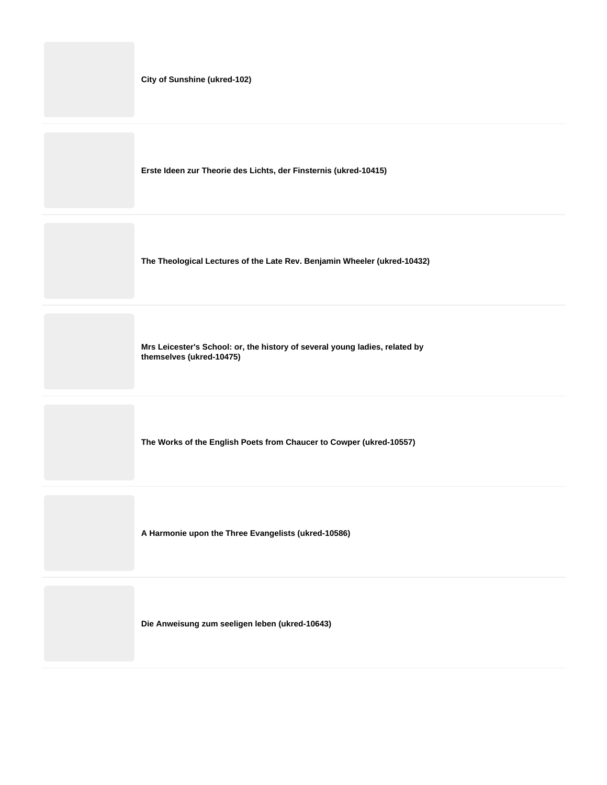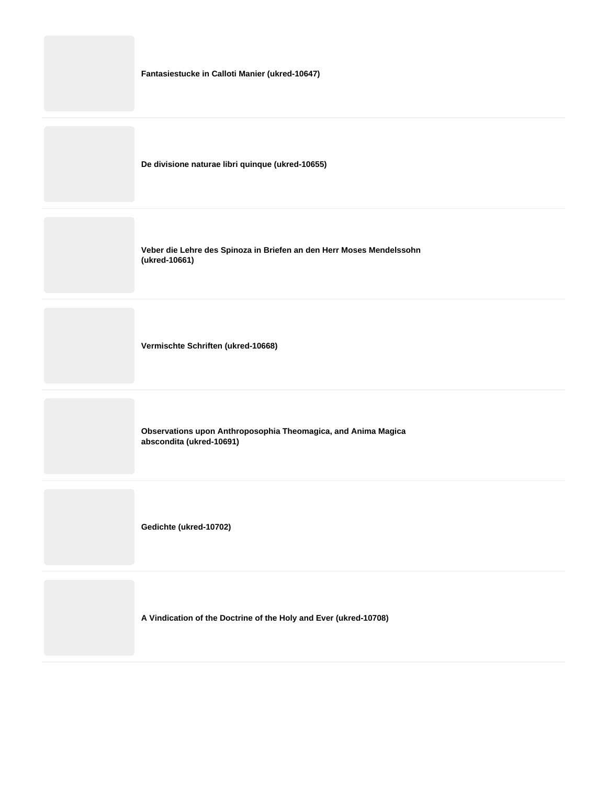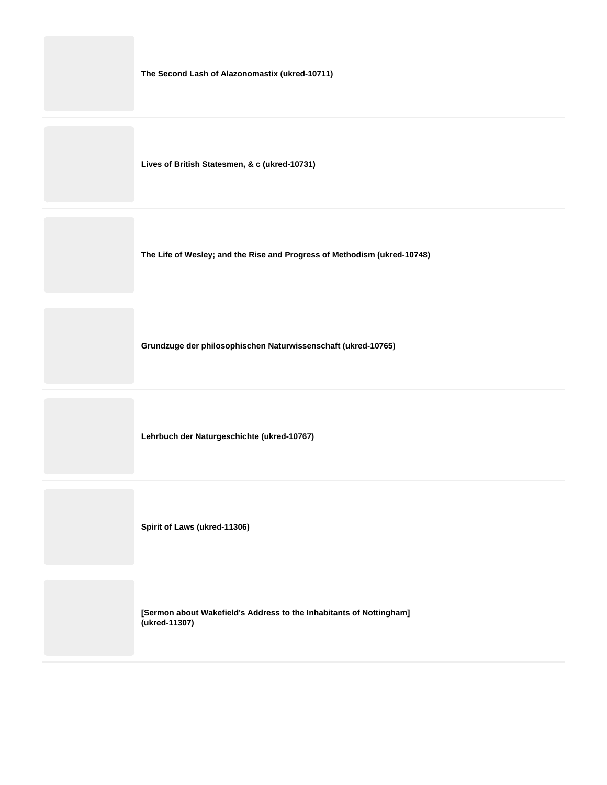**The Second Lash of Alazonomastix (ukred-10711)**

**Lives of British Statesmen, & c (ukred-10731)**

**The Life of Wesley; and the Rise and Progress of Methodism (ukred-10748)**

**Grundzuge der philosophischen Naturwissenschaft (ukred-10765)**

**Lehrbuch der Naturgeschichte (ukred-10767)**

**Spirit of Laws (ukred-11306)**

**[Sermon about Wakefield's Address to the Inhabitants of Nottingham] (ukred-11307)**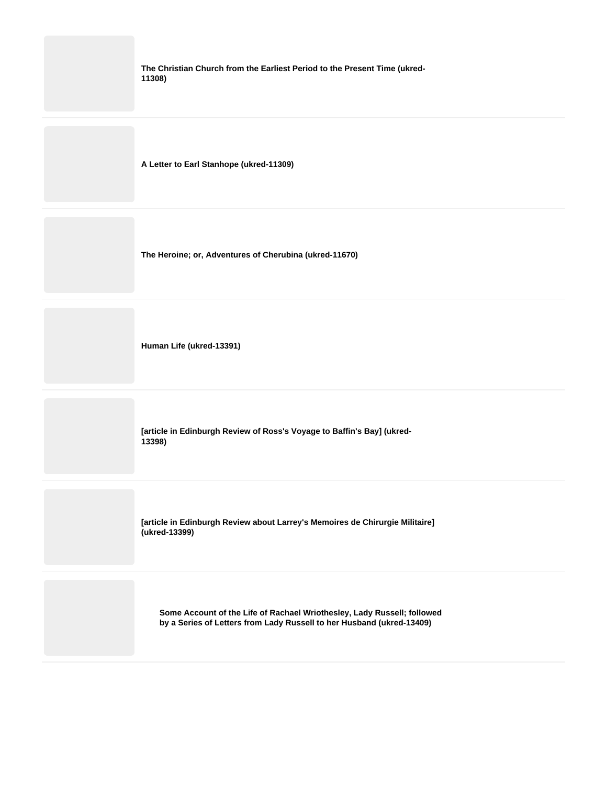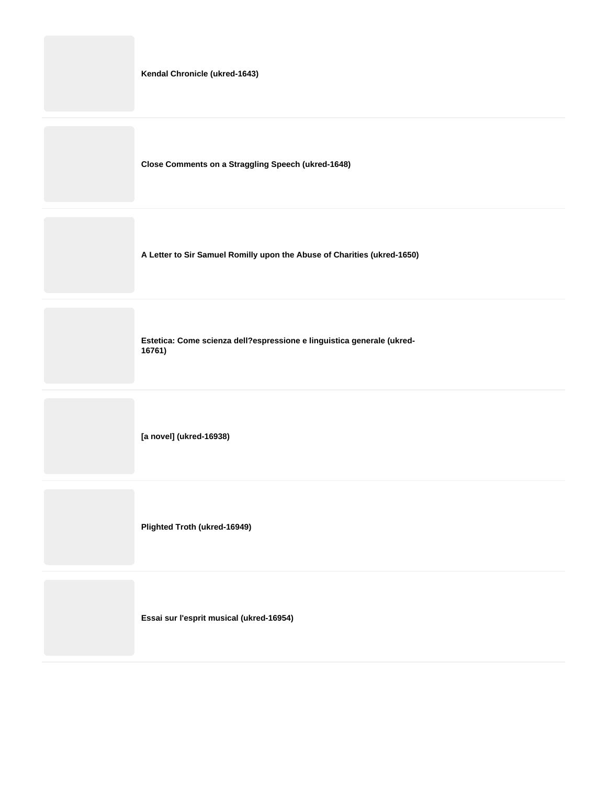|  |  | Kendal Chronicle (ukred-1643) |
|--|--|-------------------------------|
|--|--|-------------------------------|

**Close Comments on a Straggling Speech (ukred-1648)**

**A Letter to Sir Samuel Romilly upon the Abuse of Charities (ukred-1650)**

**Estetica: Come scienza dell?espressione e linguistica generale (ukred-16761)**

**[a novel] (ukred-16938)**

**Plighted Troth (ukred-16949)**

**Essai sur l'esprit musical (ukred-16954)**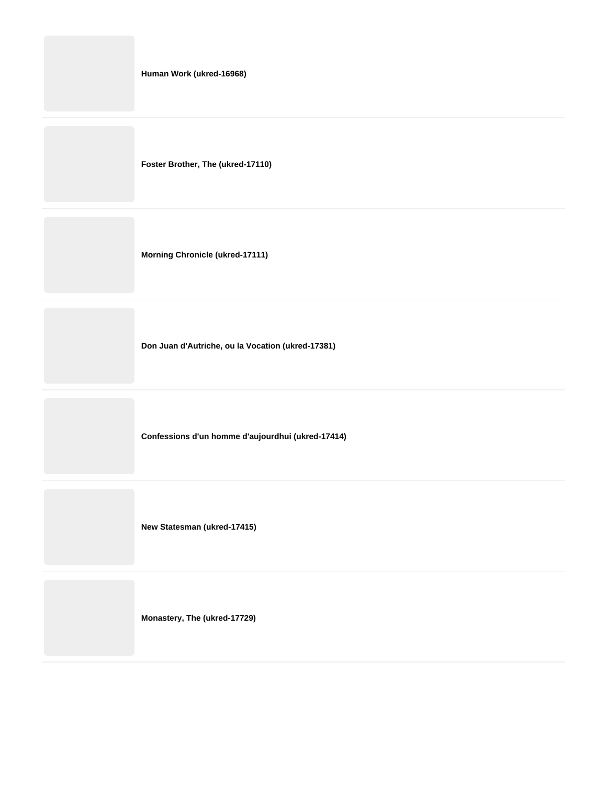|  |  | Human Work (ukred-16968) |
|--|--|--------------------------|
|--|--|--------------------------|

**Foster Brother, The (ukred-17110)**

**Morning Chronicle (ukred-17111)**

**Don Juan d'Autriche, ou la Vocation (ukred-17381)**

**Confessions d'un homme d'aujourdhui (ukred-17414)**

**New Statesman (ukred-17415)**

**Monastery, The (ukred-17729)**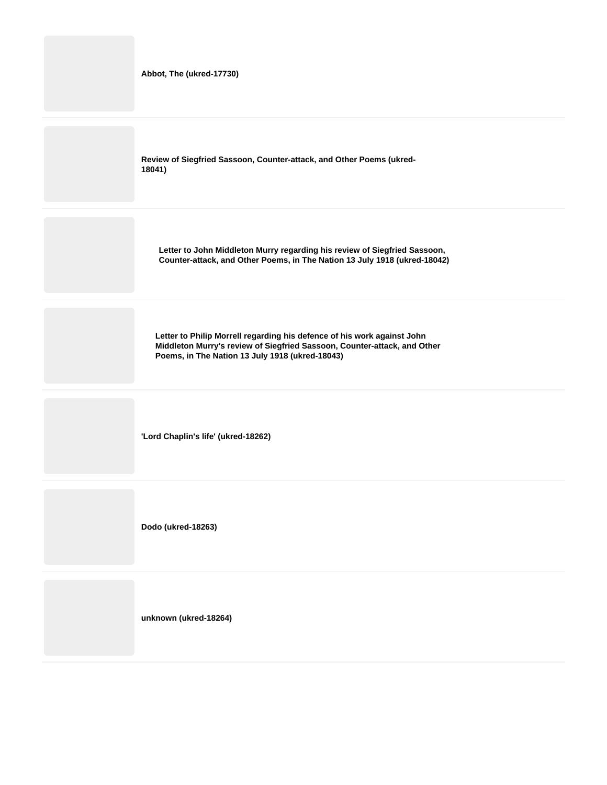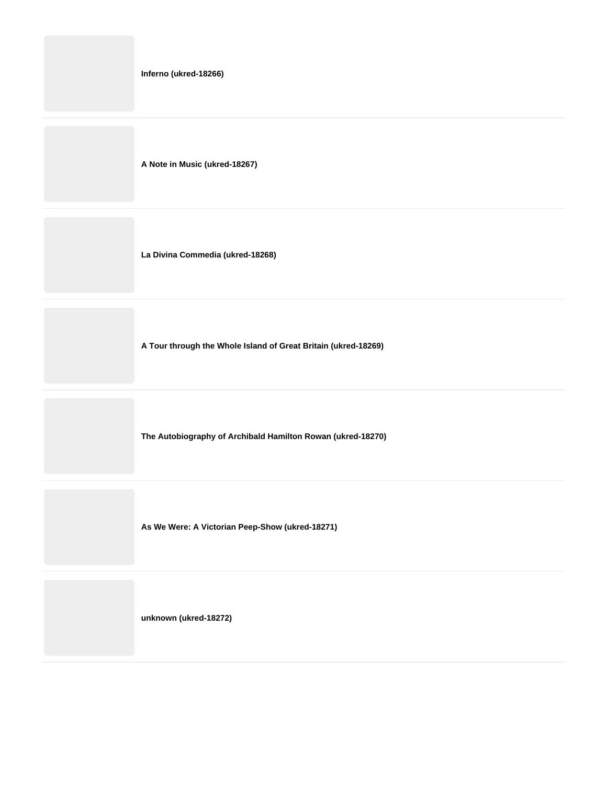|  | Inferno (ukred-18266) |
|--|-----------------------|
|--|-----------------------|

**A Note in Music (ukred-18267)**

**La Divina Commedia (ukred-18268)**

**A Tour through the Whole Island of Great Britain (ukred-18269)**

**The Autobiography of Archibald Hamilton Rowan (ukred-18270)**

**As We Were: A Victorian Peep-Show (ukred-18271)**

**unknown (ukred-18272)**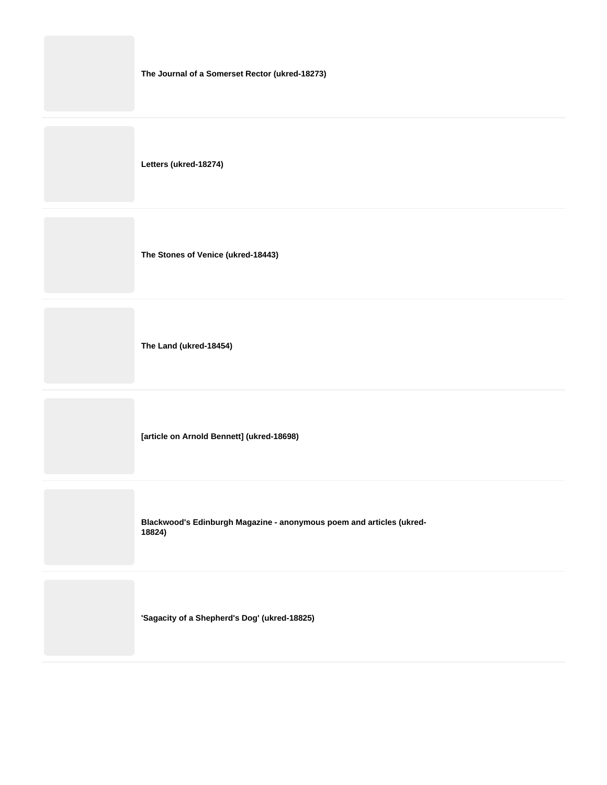| The Journal of a Somerset Rector (ukred-18273) |
|------------------------------------------------|
| Letters (ukred-18274)                          |
| The Stones of Venice (ukred-18443)             |
| The Land (ukred-18454)                         |
| [article on Arnold Bennett] (ukred-18698)      |
|                                                |

**Blackwood's Edinburgh Magazine - anonymous poem and articles (ukred-18824)**

**'Sagacity of a Shepherd's Dog' (ukred-18825)**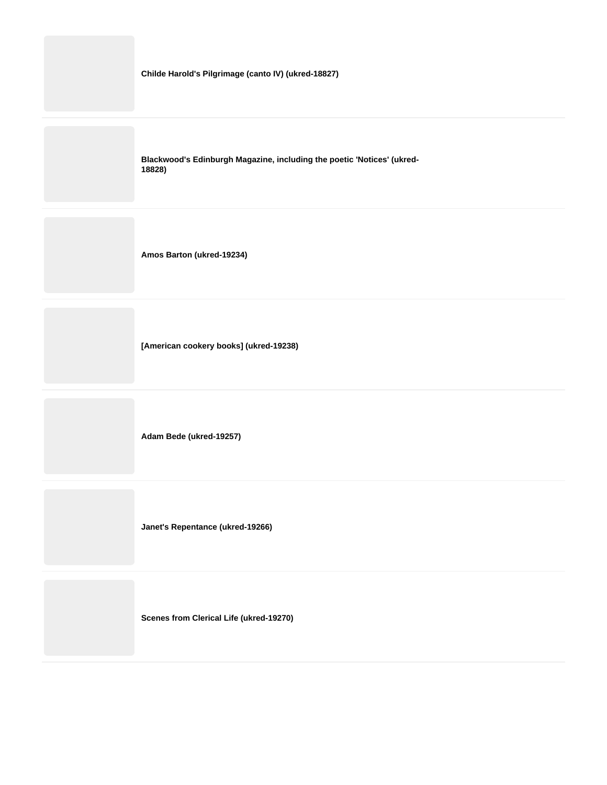

**Scenes from Clerical Life (ukred-19270)**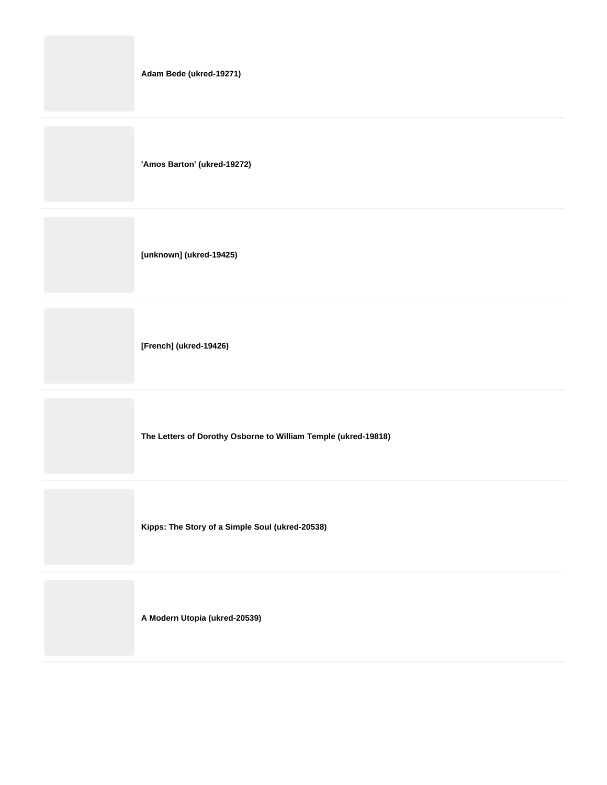|  |  | Adam Bede (ukred-19271) |  |
|--|--|-------------------------|--|
|--|--|-------------------------|--|

**'Amos Barton' (ukred-19272)**

**[unknown] (ukred-19425)**

**[French] (ukred-19426)**

**The Letters of Dorothy Osborne to William Temple (ukred-19818)**

**Kipps: The Story of a Simple Soul (ukred-20538)**

**A Modern Utopia (ukred-20539)**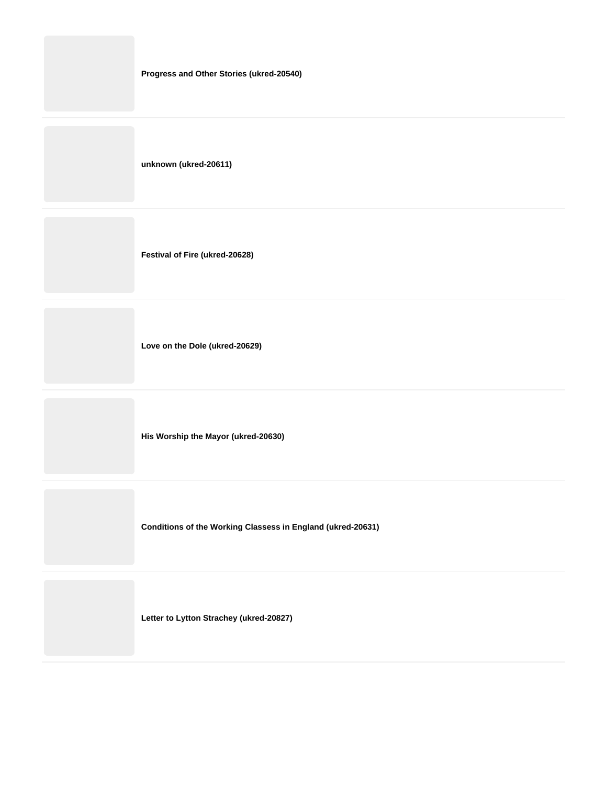| Progress and Other Stories (ukred-20540) |
|------------------------------------------|
| unknown (ukred-20611)                    |
| Festival of Fire (ukred-20628)           |
| Love on the Dole (ukred-20629)           |

**His Worship the Mayor (ukred-20630)**

**Conditions of the Working Classess in England (ukred-20631)**

**Letter to Lytton Strachey (ukred-20827)**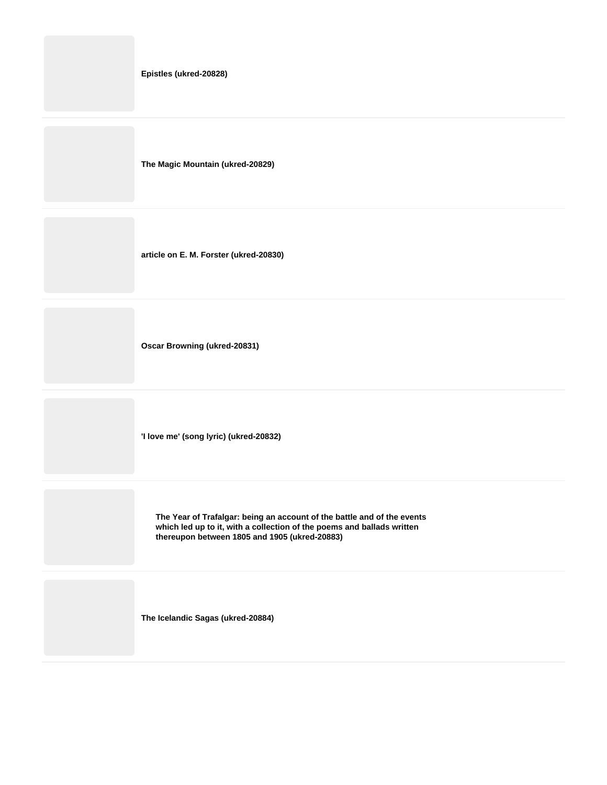**Epistles (ukred-20828)**

**The Magic Mountain (ukred-20829)**

**article on E. M. Forster (ukred-20830)**

**Oscar Browning (ukred-20831)**

**'I love me' (song lyric) (ukred-20832)**

**The Year of Trafalgar: being an account of the battle and of the events which led up to it, with a collection of the poems and ballads written thereupon between 1805 and 1905 (ukred-20883)**

**The Icelandic Sagas (ukred-20884)**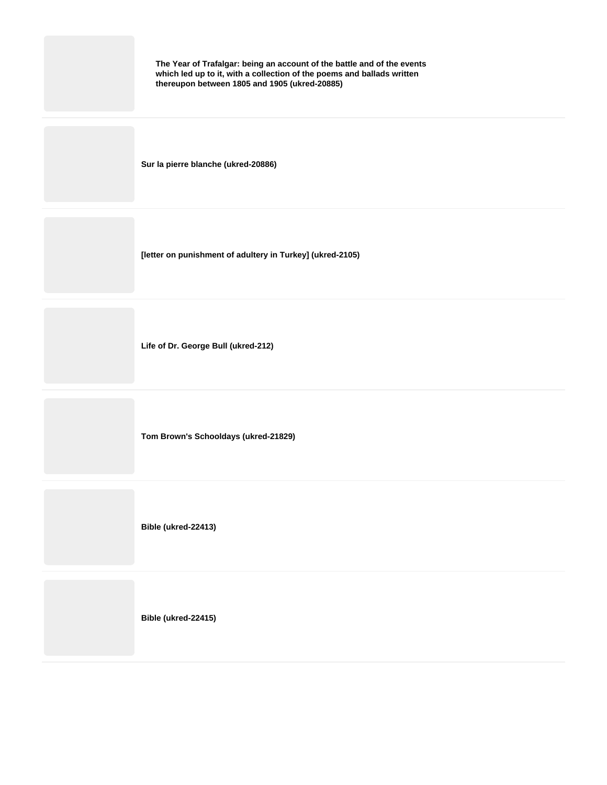| The Year of Trafalgar: being an account of the battle and of the events<br>which led up to it, with a collection of the poems and ballads written<br>thereupon between 1805 and 1905 (ukred-20885) |
|----------------------------------------------------------------------------------------------------------------------------------------------------------------------------------------------------|
| Sur la pierre blanche (ukred-20886)                                                                                                                                                                |
| [letter on punishment of adultery in Turkey] (ukred-2105)                                                                                                                                          |
| Life of Dr. George Bull (ukred-212)                                                                                                                                                                |
| Tom Brown's Schooldays (ukred-21829)                                                                                                                                                               |
| Bible (ukred-22413)                                                                                                                                                                                |
| Bible (ukred-22415)                                                                                                                                                                                |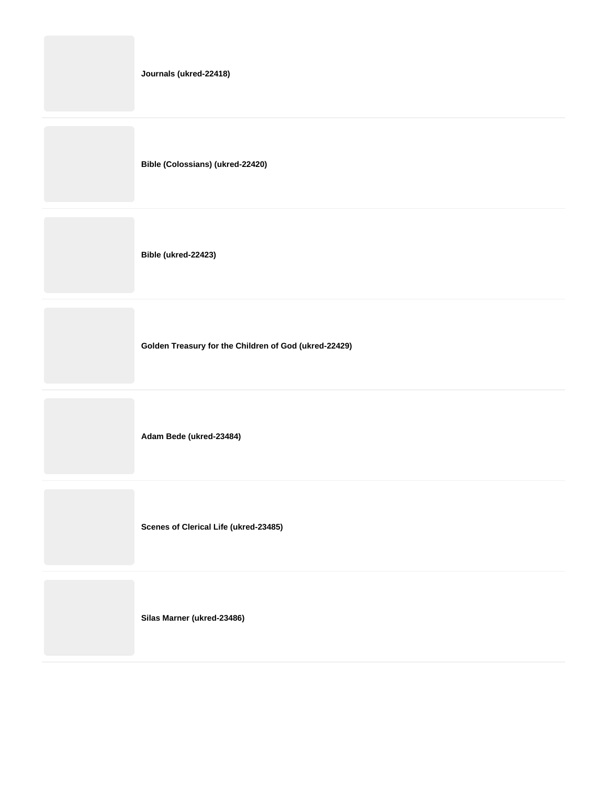**Journals (ukred-22418)**

**Bible (Colossians) (ukred-22420)**

**Bible (ukred-22423)**

**Golden Treasury for the Children of God (ukred-22429)**

**Adam Bede (ukred-23484)**

**Scenes of Clerical Life (ukred-23485)**

**Silas Marner (ukred-23486)**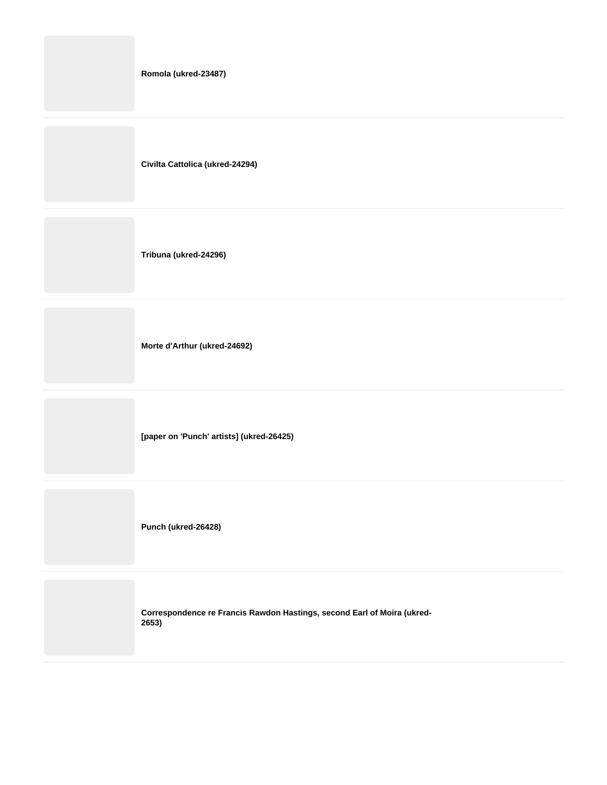|  | Romola (ukred-23487) |  |
|--|----------------------|--|
|--|----------------------|--|

**Civilta Cattolica (ukred-24294)**

**Tribuna (ukred-24296)**

**Morte d'Arthur (ukred-24692)**

**[paper on 'Punch' artists] (ukred-26425)**

**Punch (ukred-26428)**

**Correspondence re Francis Rawdon Hastings, second Earl of Moira (ukred-2653)**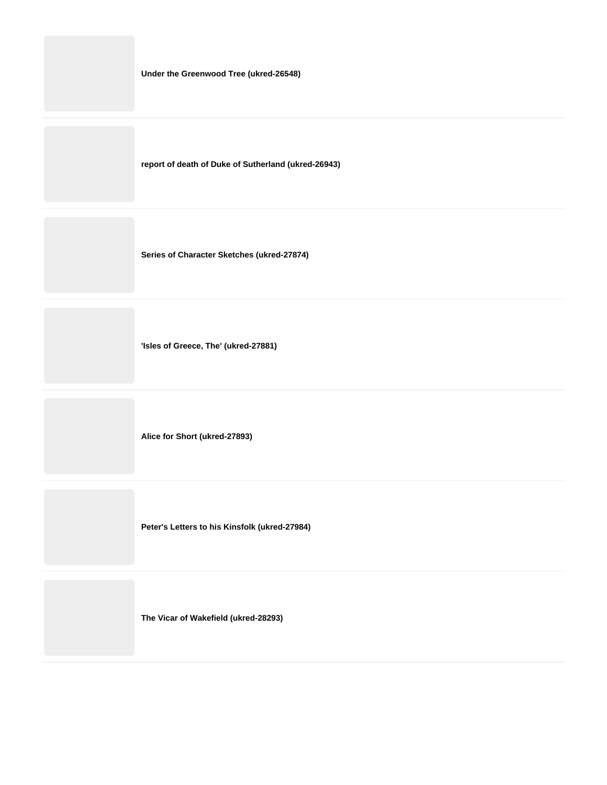**Under the Greenwood Tree (ukred-26548)**

**report of death of Duke of Sutherland (ukred-26943)**

**Series of Character Sketches (ukred-27874)**

**'Isles of Greece, The' (ukred-27881)**

**Alice for Short (ukred-27893)**

**Peter's Letters to his Kinsfolk (ukred-27984)**

**The Vicar of Wakefield (ukred-28293)**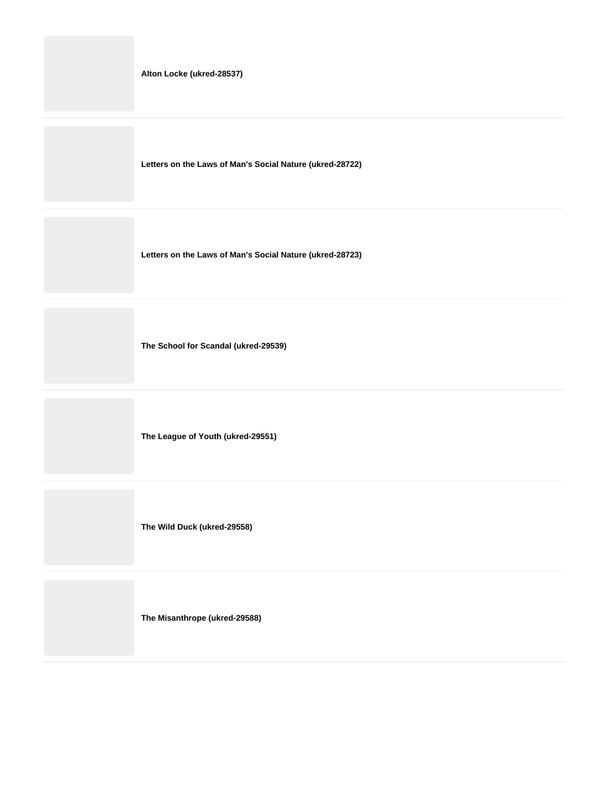**Letters on the Laws of Man's Social Nature (ukred-28722)**

**Letters on the Laws of Man's Social Nature (ukred-28723)**

**The School for Scandal (ukred-29539)**

**The League of Youth (ukred-29551)**

**The Wild Duck (ukred-29558)**

**The Misanthrope (ukred-29588)**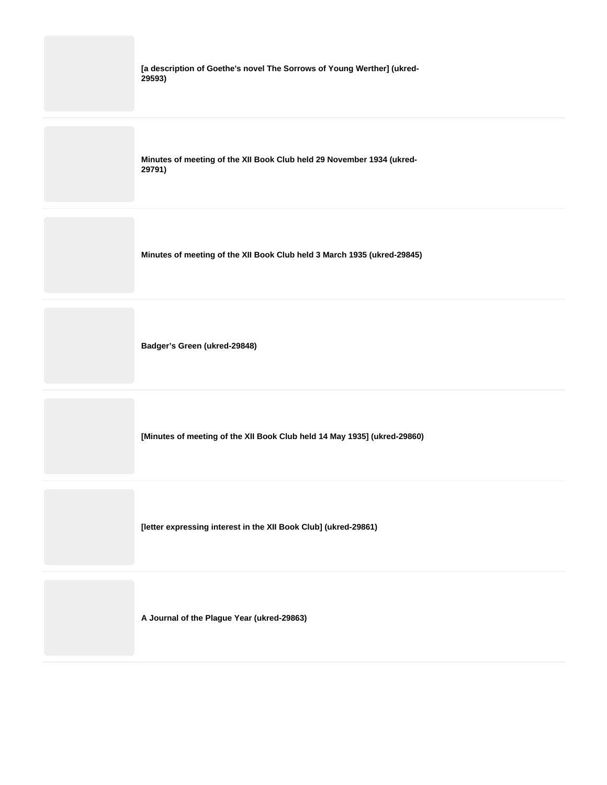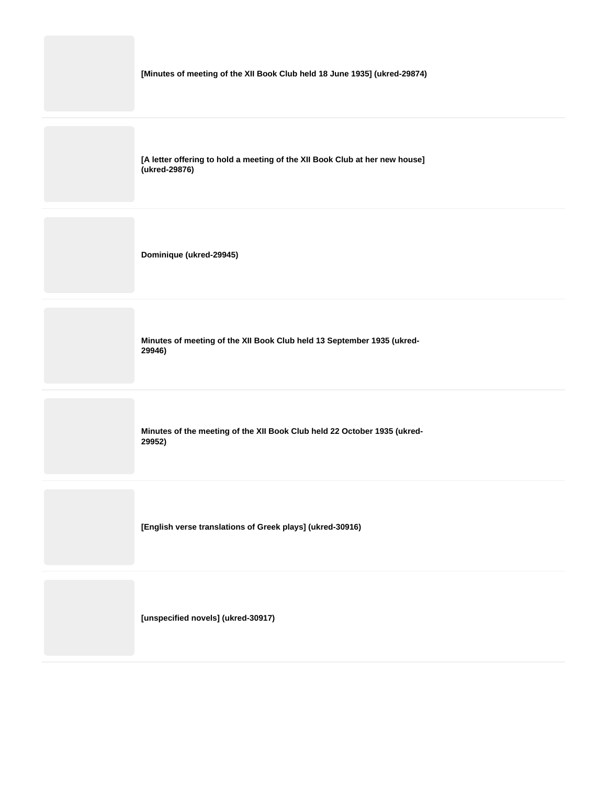**[A letter offering to hold a meeting of the XII Book Club at her new house] (ukred-29876)**

**Dominique (ukred-29945)**

**Minutes of meeting of the XII Book Club held 13 September 1935 (ukred-29946)**

**Minutes of the meeting of the XII Book Club held 22 October 1935 (ukred-29952)**

**[English verse translations of Greek plays] (ukred-30916)**

**[unspecified novels] (ukred-30917)**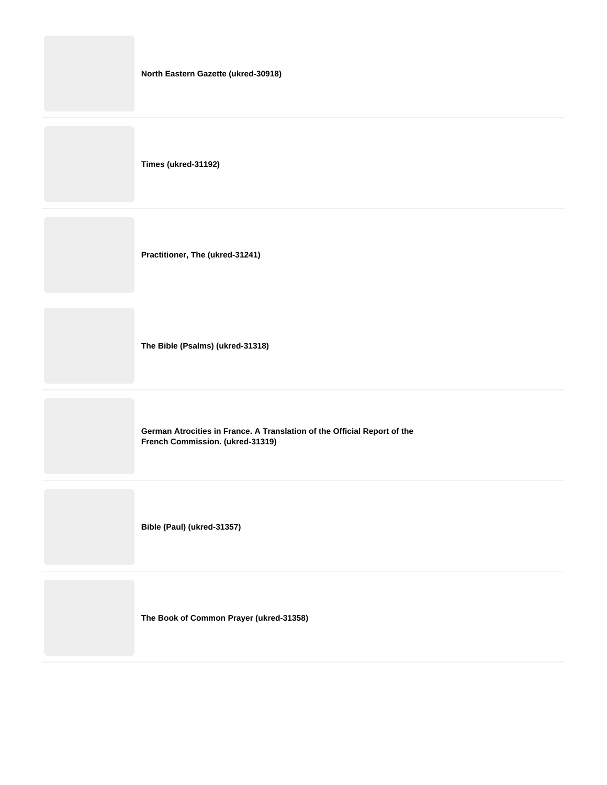| North Eastern Gazette (ukred-30918) |
|-------------------------------------|
| Times (ukred-31192)                 |
| Practitioner, The (ukred-31241)     |
|                                     |

**The Bible (Psalms) (ukred-31318)**

**German Atrocities in France. A Translation of the Official Report of the French Commission. (ukred-31319)**

**Bible (Paul) (ukred-31357)**

**The Book of Common Prayer (ukred-31358)**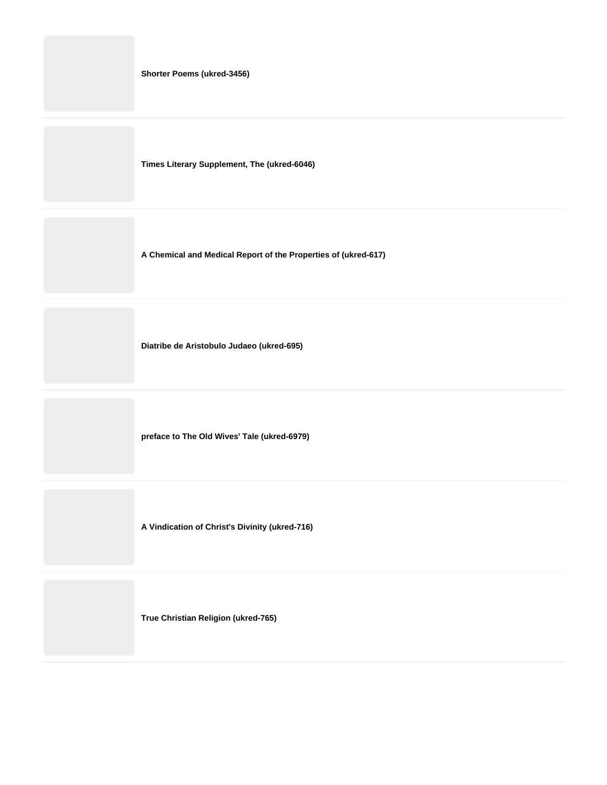|  |  | <b>Shorter Poems (ukred-3456)</b> |  |
|--|--|-----------------------------------|--|
|--|--|-----------------------------------|--|

**Times Literary Supplement, The (ukred-6046)**

**A Chemical and Medical Report of the Properties of (ukred-617)**

**Diatribe de Aristobulo Judaeo (ukred-695)**

**preface to The Old Wives' Tale (ukred-6979)**

**A Vindication of Christ's Divinity (ukred-716)**

**True Christian Religion (ukred-765)**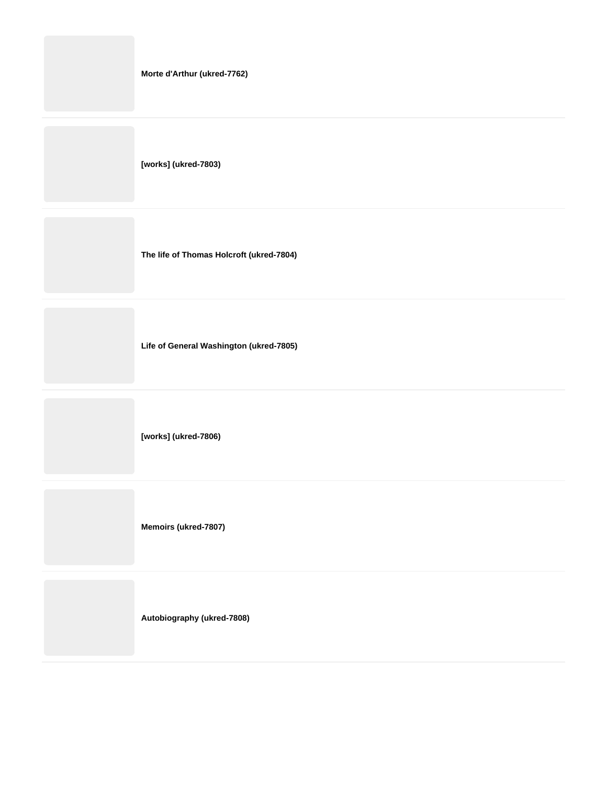**[works] (ukred-7803)**

**The life of Thomas Holcroft (ukred-7804)**

**Life of General Washington (ukred-7805)**

**[works] (ukred-7806)**

**Memoirs (ukred-7807)**

**Autobiography (ukred-7808)**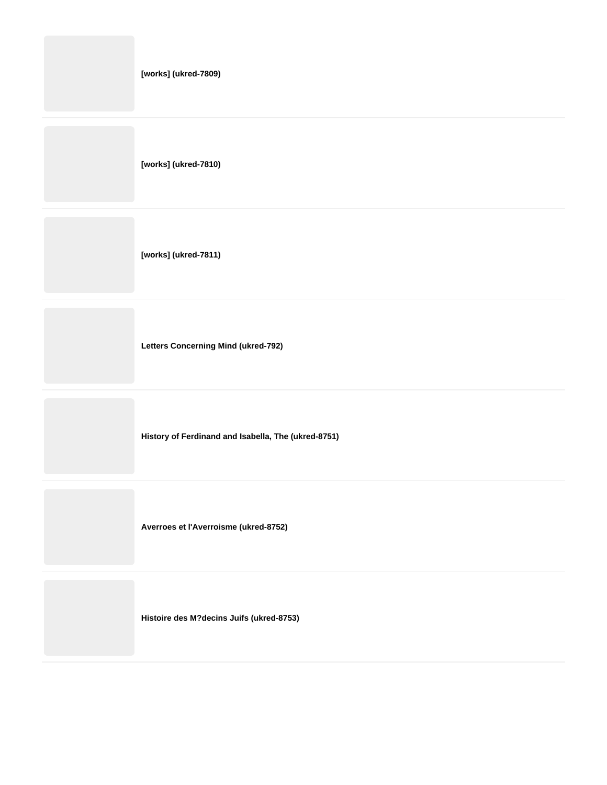**[works] (ukred-7809)**

**[works] (ukred-7810)**

**[works] (ukred-7811)**

**Letters Concerning Mind (ukred-792)**

**History of Ferdinand and Isabella, The (ukred-8751)**

**Averroes et l'Averroisme (ukred-8752)**

**Histoire des M?decins Juifs (ukred-8753)**